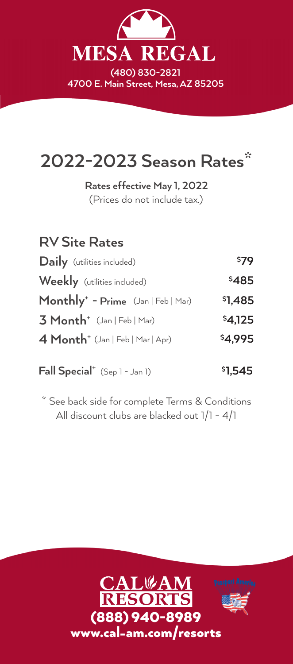

## **2022-2023 Season Rates\***

(Prices do not include tax.) **Rates effective May 1, 2022**

**Daily**  (utilities included) **Weekly** (utilities included) **3 Month+** (Jan | Feb | Mar) **4 Month+** (Jan | Feb | Mar | Apr) **\$79 \$485 \$4,125 \$4,995 RV Site Rates Monthly<sup>+</sup> - Prime** (Jan | Feb | Mar) **1,485** 

**Fall Special**  $\text{Sep 1 - Jan 1}$  **11.545** 

\* See back side for complete Terms & Conditions All discount clubs are blacked out 1/1 - 4/1